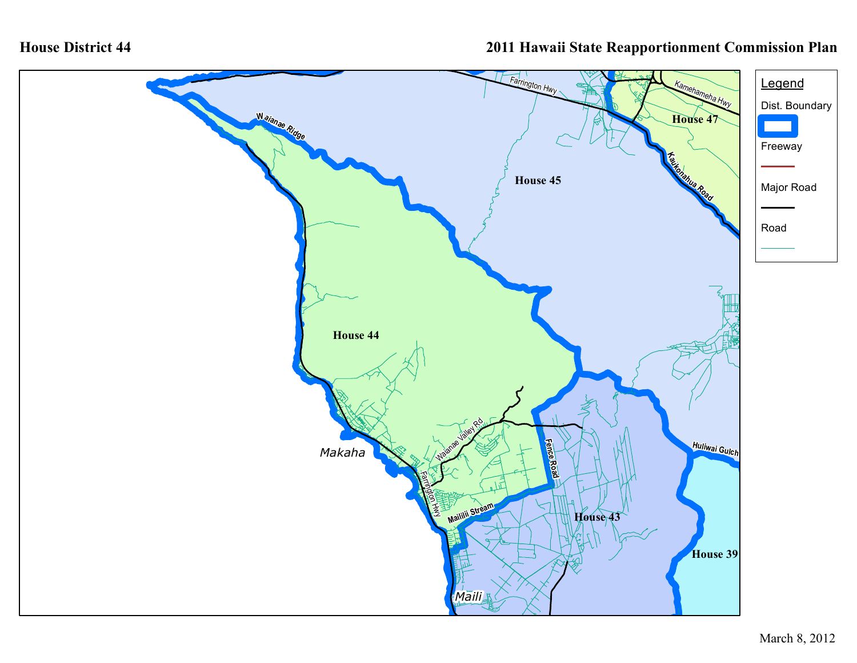## **House District 44**